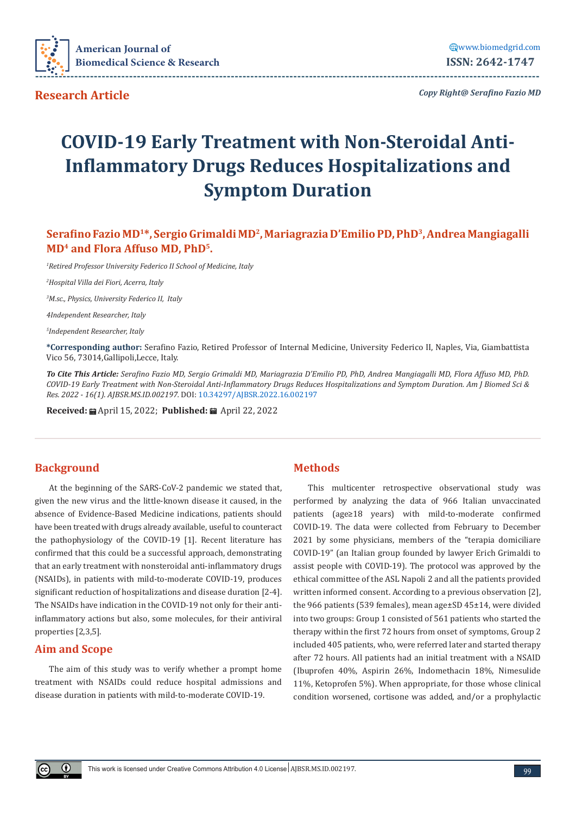

**Research Article**

*Copy Right@ Serafino Fazio MD*

# **COVID-19 Early Treatment with Non-Steroidal Anti-Inflammatory Drugs Reduces Hospitalizations and Symptom Duration**

**Serafino Fazio MD<sup>1</sup>\*, Sergio Grimaldi MD<sup>2</sup>, Mariagrazia D'Emilio PD, PhD<sup>3</sup>, Andrea Mangiagalli MD<sup>4</sup> and Flora Affuso MD, PhD5.**

*1 Retired Professor University Federico II School of Medicine, Italy*

*2 Hospital Villa dei Fiori, Acerra, Italy*

*3 M.sc., Physics, University Federico II, Italy*

*4Independent Researcher, Italy*

*5 Independent Researcher, Italy*

**\*Corresponding author:** Serafino Fazio, Retired Professor of Internal Medicine, University Federico II, Naples, Via, Giambattista Vico 56, 73014,Gallipoli,Lecce, Italy.

*To Cite This Article: Serafino Fazio MD, Sergio Grimaldi MD, Mariagrazia D'Emilio PD, PhD, Andrea Mangiagalli MD, Flora Affuso MD, PhD. COVID-19 Early Treatment with Non-Steroidal Anti-Inflammatory Drugs Reduces Hospitalizations and Symptom Duration. Am J Biomed Sci & Res. 2022 - 16(1). AJBSR.MS.ID.002197.* DOI: [10.34297/AJBSR.2022.16.002197](http://dx.doi.org/10.34297/AJBSR.2022.16.002197)

**Received:** April 15, 2022; **Published:** April 22, 2022

## **Background**

At the beginning of the SARS-CoV-2 pandemic we stated that, given the new virus and the little-known disease it caused, in the absence of Evidence-Based Medicine indications, patients should have been treated with drugs already available, useful to counteract the pathophysiology of the COVID-19 [1]. Recent literature has confirmed that this could be a successful approach, demonstrating that an early treatment with nonsteroidal anti-inflammatory drugs (NSAIDs), in patients with mild-to-moderate COVID-19, produces significant reduction of hospitalizations and disease duration [2-4]. The NSAIDs have indication in the COVID-19 not only for their antiinflammatory actions but also, some molecules, for their antiviral properties [2,3,5].

## **Aim and Scope**

The aim of this study was to verify whether a prompt home treatment with NSAIDs could reduce hospital admissions and disease duration in patients with mild-to-moderate COVID-19.

## **Methods**

This multicenter retrospective observational study was performed by analyzing the data of 966 Italian unvaccinated patients (age≥18 years) with mild-to-moderate confirmed COVID-19. The data were collected from February to December 2021 by some physicians, members of the "terapia domiciliare COVID-19" (an Italian group founded by lawyer Erich Grimaldi to assist people with COVID-19). The protocol was approved by the ethical committee of the ASL Napoli 2 and all the patients provided written informed consent. According to a previous observation [2], the 966 patients (539 females), mean age±SD 45±14, were divided into two groups: Group 1 consisted of 561 patients who started the therapy within the first 72 hours from onset of symptoms, Group 2 included 405 patients, who, were referred later and started therapy after 72 hours. All patients had an initial treatment with a NSAID (Ibuprofen 40%, Aspirin 26%, Indomethacin 18%, Nimesulide 11%, Ketoprofen 5%). When appropriate, for those whose clinical condition worsened, cortisone was added, and/or a prophylactic

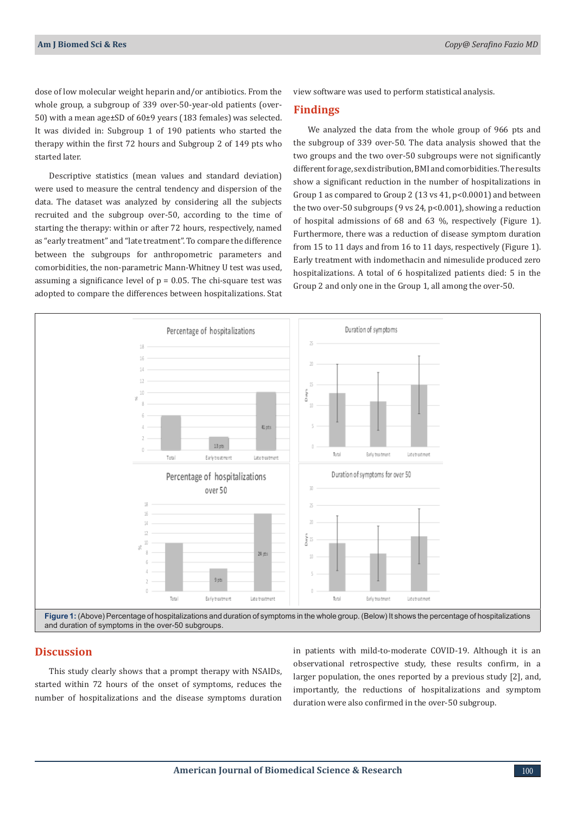dose of low molecular weight heparin and/or antibiotics. From the whole group, a subgroup of 339 over-50-year-old patients (over-50) with a mean age±SD of 60±9 years (183 females) was selected. It was divided in: Subgroup 1 of 190 patients who started the therapy within the first 72 hours and Subgroup 2 of 149 pts who started later.

Descriptive statistics (mean values and standard deviation) were used to measure the central tendency and dispersion of the data. The dataset was analyzed by considering all the subjects recruited and the subgroup over-50, according to the time of starting the therapy: within or after 72 hours, respectively, named as "early treatment" and "late treatment". To compare the difference between the subgroups for anthropometric parameters and comorbidities, the non-parametric Mann-Whitney U test was used, assuming a significance level of  $p = 0.05$ . The chi-square test was adopted to compare the differences between hospitalizations. Stat

view software was used to perform statistical analysis.

### **Findings**

We analyzed the data from the whole group of 966 pts and the subgroup of 339 over-50. The data analysis showed that the two groups and the two over-50 subgroups were not significantly different for age, sex distribution, BMI and comorbidities. The results show a significant reduction in the number of hospitalizations in Group 1 as compared to Group 2 (13 vs 41, p<0.0001) and between the two over-50 subgroups (9 vs 24, p<0.001), showing a reduction of hospital admissions of 68 and 63 %, respectively (Figure 1). Furthermore, there was a reduction of disease symptom duration from 15 to 11 days and from 16 to 11 days, respectively (Figure 1). Early treatment with indomethacin and nimesulide produced zero hospitalizations. A total of 6 hospitalized patients died: 5 in the Group 2 and only one in the Group 1, all among the over-50.



### **Discussion**

This study clearly shows that a prompt therapy with NSAIDs, started within 72 hours of the onset of symptoms, reduces the number of hospitalizations and the disease symptoms duration

in patients with mild-to-moderate COVID-19. Although it is an observational retrospective study, these results confirm, in a larger population, the ones reported by a previous study [2], and, importantly, the reductions of hospitalizations and symptom duration were also confirmed in the over-50 subgroup.